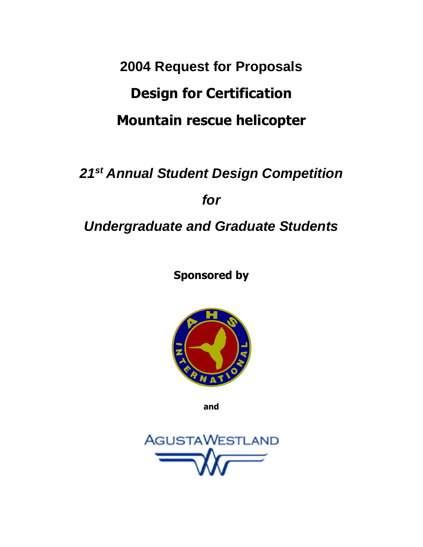# **2004 Request for Proposals Design for Certification Mountain rescue helicopter**

# *21st Annual Student Design Competition for Undergraduate and Graduate Students*

**Sponsored by**



**and**

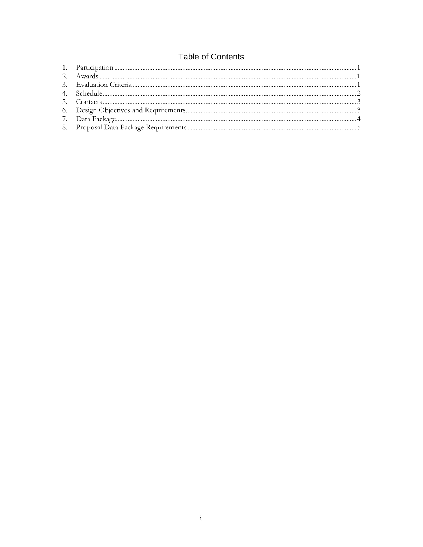# **Table of Contents**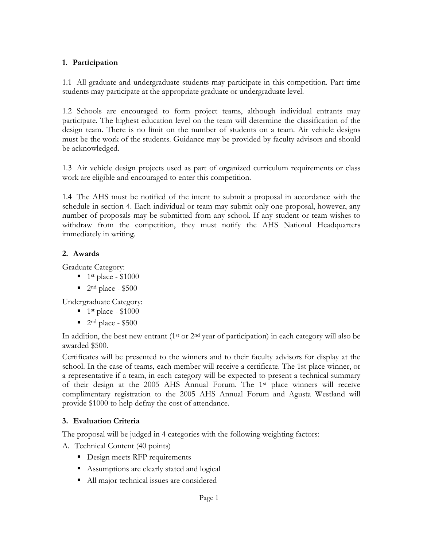## **1. Participation**

1.1 All graduate and undergraduate students may participate in this competition. Part time students may participate at the appropriate graduate or undergraduate level.

1.2 Schools are encouraged to form project teams, although individual entrants may participate. The highest education level on the team will determine the classification of the design team. There is no limit on the number of students on a team. Air vehicle designs must be the work of the students. Guidance may be provided by faculty advisors and should be acknowledged.

1.3 Air vehicle design projects used as part of organized curriculum requirements or class work are eligible and encouraged to enter this competition.

1.4 The AHS must be notified of the intent to submit a proposal in accordance with the schedule in section 4. Each individual or team may submit only one proposal, however, any number of proposals may be submitted from any school. If any student or team wishes to withdraw from the competition, they must notify the AHS National Headquarters immediately in writing.

## **2. Awards**

Graduate Category:

- $\blacksquare$  1<sup>st</sup> place \$1000
- $\blacksquare$  2<sup>nd</sup> place \$500

Undergraduate Category:

- $\blacksquare$  1<sup>st</sup> place \$1000
- $\blacksquare$  2<sup>nd</sup> place \$500

In addition, the best new entrant  $(1<sup>st</sup> or 2<sup>nd</sup> year of participation)$  in each category will also be awarded \$500.

Certificates will be presented to the winners and to their faculty advisors for display at the school. In the case of teams, each member will receive a certificate. The 1st place winner, or a representative if a team, in each category will be expected to present a technical summary of their design at the 2005 AHS Annual Forum. The 1st place winners will receive complimentary registration to the 2005 AHS Annual Forum and Agusta Westland will provide \$1000 to help defray the cost of attendance.

## **3. Evaluation Criteria**

The proposal will be judged in 4 categories with the following weighting factors:

A. Technical Content (40 points)

- Design meets RFP requirements
- Assumptions are clearly stated and logical
- All major technical issues are considered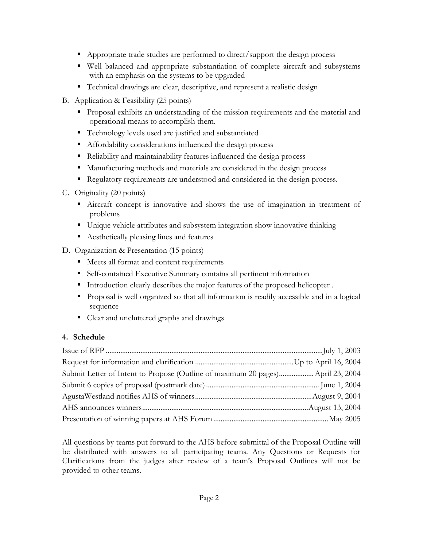- Appropriate trade studies are performed to direct/support the design process
- Well balanced and appropriate substantiation of complete aircraft and subsystems with an emphasis on the systems to be upgraded
- Technical drawings are clear, descriptive, and represent a realistic design
- B. Application & Feasibility (25 points)
	- Proposal exhibits an understanding of the mission requirements and the material and operational means to accomplish them.
	- Technology levels used are justified and substantiated
	- Affordability considerations influenced the design process
	- Reliability and maintainability features influenced the design process
	- Manufacturing methods and materials are considered in the design process
	- Regulatory requirements are understood and considered in the design process.
- C. Originality (20 points)
	- Aircraft concept is innovative and shows the use of imagination in treatment of problems
	- Unique vehicle attributes and subsystem integration show innovative thinking
	- Aesthetically pleasing lines and features
- D. Organization & Presentation (15 points)
	- Meets all format and content requirements
	- Self-contained Executive Summary contains all pertinent information
	- Introduction clearly describes the major features of the proposed helicopter.
	- Proposal is well organized so that all information is readily accessible and in a logical sequence
	- Clear and uncluttered graphs and drawings

## **4. Schedule**

| Submit Letter of Intent to Propose (Outline of maximum 20 pages) April 23, 2004 |  |
|---------------------------------------------------------------------------------|--|
|                                                                                 |  |
|                                                                                 |  |
|                                                                                 |  |
|                                                                                 |  |

All questions by teams put forward to the AHS before submittal of the Proposal Outline will be distributed with answers to all participating teams. Any Questions or Requests for Clarifications from the judges after review of a team's Proposal Outlines will not be provided to other teams.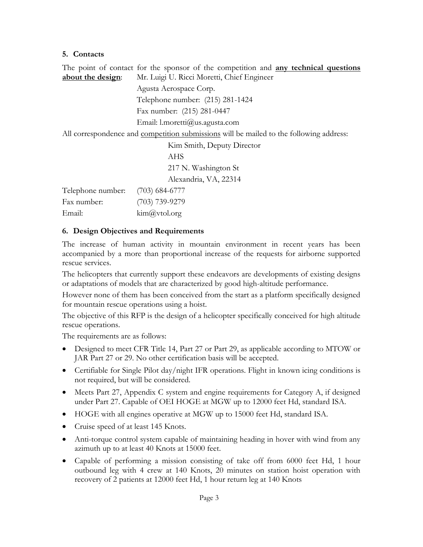#### **5. Contacts**

The point of contact for the sponsor of the competition and **any technical questions about the design**: Mr. Luigi U. Ricci Moretti, Chief Engineer

Agusta Aerospace Corp. Telephone number: (215) 281-1424 Fax number: (215) 281-0447 Email: l.moretti@us.agusta.com All correspondence and competition submissions will be mailed to the following address: Kim Smith, Deputy Director AHS 217 N. Washington St Alexandria, VA, 22314 Telephone number: (703) 684-6777 Fax number: (703) 739-9279 Email: kim@vtol.org

## **6. Design Objectives and Requirements**

The increase of human activity in mountain environment in recent years has been accompanied by a more than proportional increase of the requests for airborne supported rescue services.

The helicopters that currently support these endeavors are developments of existing designs or adaptations of models that are characterized by good high-altitude performance.

However none of them has been conceived from the start as a platform specifically designed for mountain rescue operations using a hoist.

The objective of this RFP is the design of a helicopter specifically conceived for high altitude rescue operations.

The requirements are as follows:

- Designed to meet CFR Title 14, Part 27 or Part 29, as applicable according to MTOW or JAR Part 27 or 29. No other certification basis will be accepted.
- Certifiable for Single Pilot day/night IFR operations. Flight in known icing conditions is not required, but will be considered.
- Meets Part 27, Appendix C system and engine requirements for Category A, if designed under Part 27. Capable of OEI HOGE at MGW up to 12000 feet Hd, standard ISA.
- HOGE with all engines operative at MGW up to 15000 feet Hd, standard ISA.
- Cruise speed of at least 145 Knots.
- Anti-torque control system capable of maintaining heading in hover with wind from any azimuth up to at least 40 Knots at 15000 feet.
- Capable of performing a mission consisting of take off from 6000 feet Hd, 1 hour outbound leg with 4 crew at 140 Knots, 20 minutes on station hoist operation with recovery of 2 patients at 12000 feet Hd, 1 hour return leg at 140 Knots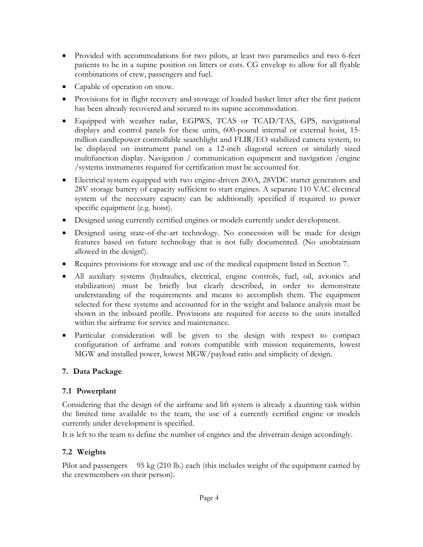- Provided with accommodations for two pilots, at least two paramedics and two 6-feet patients to be in a supine position on litters or cots. CG envelop to allow for all flyable combinations of crew, passengers and fuel.
- Capable of operation on snow.
- Provisions for in flight recovery and stowage of loaded basket litter after the first patient has been already recovered and secured to its supine accommodation.
- Equipped with weather radar, EGPWS, TCAS or TCAD/TAS, GPS, navigational displays and control panels for these units, 600-pound internal or external hoist, 15 million candlepower controllable searchlight and FLIR/EO stabilized camera system, to be displayed on instrument panel on a 12-inch diagonal screen or similarly sized multifunction display. Navigation / communication equipment and navigation /engine /systems instruments required for certification must be accounted for.
- Electrical system equipped with two engine-driven 200A, 28VDC starter generators and 28V storage battery of capacity sufficient to start engines. A separate 110 VAC electrical system of the necessary capacity can be additionally specified if required to power specific equipment (e.g. hoist).
- Designed using currently certified engines or models currently under development.
- Designed using state-of-the-art technology. No concession will be made for design features based on future technology that is not fully documented. (No unobtainium allowed in the design!).
- Requires provisions for stowage and use of the medical equipment listed in Section 7.
- All auxiliary systems (hydraulics, electrical, engine controls, fuel, oil, avionics and stabilization) must be briefly but clearly described, in order to demonstrate understanding of the requirements and means to accomplish them. The equipment selected for these systems and accounted for in the weight and balance analysis must be shown in the inboard profile. Provisions are required for access to the units installed within the airframe for service and maintenance.
- Particular consideration will be given to the design with respect to compact configuration of airframe and rotors compatible with mission requirements, lowest MGW and installed power, lowest MGW/payload ratio and simplicity of design.

## **7. Data Package**

## **7.1 Powerplant**

Considering that the design of the airframe and lift system is already a daunting task within the limited time available to the team, the use of a currently certified engine or models currently under development is specified.

It is left to the team to define the number of engines and the drivetrain design accordingly.

## **7.2 Weights**

Pilot and passengers 95 kg (210 lb.) each (this includes weight of the equipment carried by the crewmembers on their person).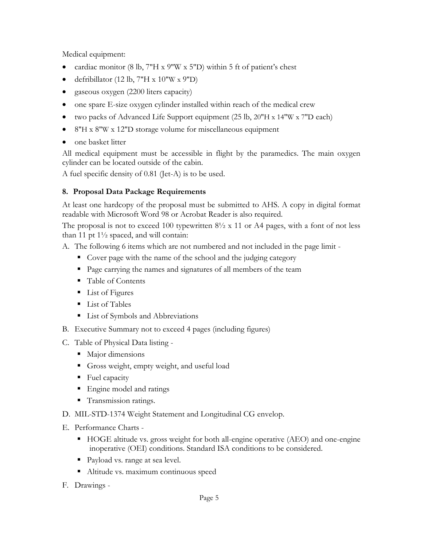Medical equipment:

- cardiac monitor (8 lb,  $7''H \times 9''W \times 5''D$ ) within 5 ft of patient's chest
- defribillator (12 lb,  $7"H \times 10"W \times 9"D$ )
- gaseous oxygen (2200 liters capacity)
- one spare E-size oxygen cylinder installed within reach of the medical crew
- two packs of Advanced Life Support equipment (25 lb, 20"H x 14"W x 7"D each)
- 8"H x 8"W x 12"D storage volume for miscellaneous equipment
- one basket litter

All medical equipment must be accessible in flight by the paramedics. The main oxygen cylinder can be located outside of the cabin.

A fuel specific density of 0.81 (Jet-A) is to be used.

## **8. Proposal Data Package Requirements**

At least one hardcopy of the proposal must be submitted to AHS. A copy in digital format readable with Microsoft Word 98 or Acrobat Reader is also required.

The proposal is not to exceed 100 typewritten  $8\frac{1}{2} \times 11$  or A4 pages, with a font of not less than 11 pt  $1\frac{1}{2}$  spaced, and will contain:

- A. The following 6 items which are not numbered and not included in the page limit
	- Cover page with the name of the school and the judging category
	- Page carrying the names and signatures of all members of the team
	- Table of Contents
	- List of Figures
	- **List of Tables**
	- List of Symbols and Abbreviations
- B. Executive Summary not to exceed 4 pages (including figures)
- C. Table of Physical Data listing
	- Major dimensions
	- Gross weight, empty weight, and useful load
	- Fuel capacity
	- Engine model and ratings
	- **Transmission ratings.**
- D. MIL-STD-1374 Weight Statement and Longitudinal CG envelop.
- E. Performance Charts
	- HOGE altitude vs. gross weight for both all-engine operative (AEO) and one-engine inoperative (OEI) conditions. Standard ISA conditions to be considered.
	- Payload vs. range at sea level.
	- Altitude vs. maximum continuous speed
- F. Drawings -